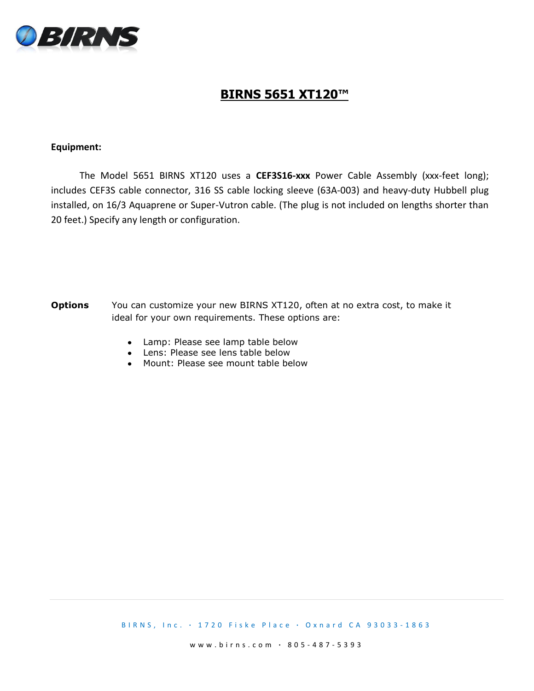

## **BIRNS 5651 XT120™**

## **Equipment:**

 The Model 5651 BIRNS XT120 uses a **CEF3S16-xxx** Power Cable Assembly (xxx-feet long); includes CEF3S cable connector, 316 SS cable locking sleeve (63A-003) and heavy-duty Hubbell plug installed, on 16/3 Aquaprene or Super-Vutron cable. (The plug is not included on lengths shorter than 20 feet.) Specify any length or configuration.

- **Options** You can customize your new BIRNS XT120, often at no extra cost, to make it ideal for your own requirements. These options are:
	- Lamp: Please see lamp table below
	- Lens: Please see lens table below
	- Mount: Please see mount table below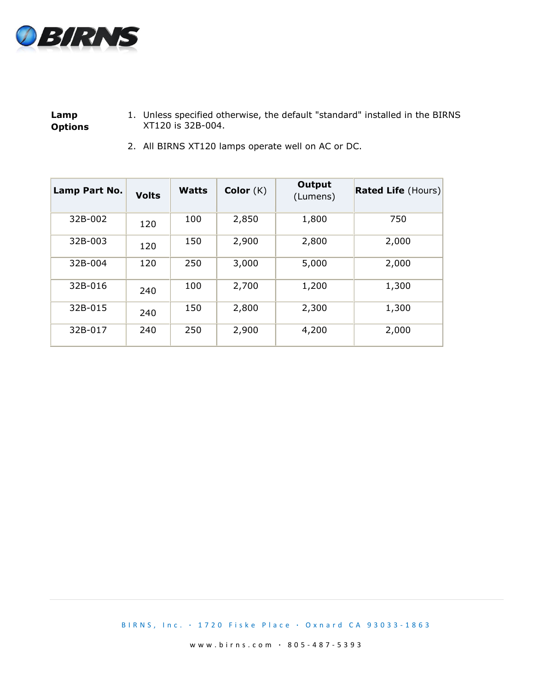

**Lamp Options** 1. Unless specified otherwise, the default "standard" installed in the BIRNS XT120 is 32B-004.

| Lamp Part No. | <b>Volts</b> | Watts | Color $(K)$ | Output<br>(Lumens) | <b>Rated Life (Hours)</b> |
|---------------|--------------|-------|-------------|--------------------|---------------------------|
| 32B-002       | 120          | 100   | 2,850       | 1,800              | 750                       |
| 32B-003       | 120          | 150   | 2,900       | 2,800              | 2,000                     |
| 32B-004       | 120          | 250   | 3,000       | 5,000              | 2,000                     |
| 32B-016       | 240          | 100   | 2,700       | 1,200              | 1,300                     |
| 32B-015       | 240          | 150   | 2,800       | 2,300              | 1,300                     |
| 32B-017       | 240          | 250   | 2,900       | 4,200              | 2,000                     |

2. All BIRNS XT120 lamps operate well on AC or DC.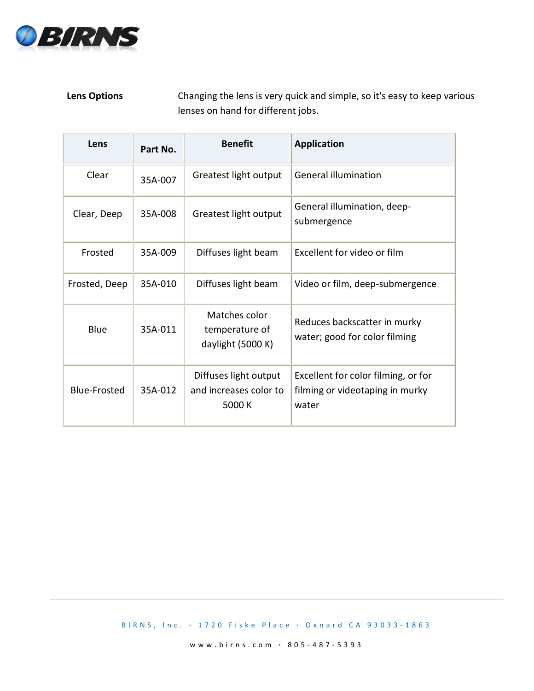

## **Lens Options** Changing the lens is very quick and simple, so it's easy to keep various lenses on hand for different jobs.

| Lens                | Part No. | <b>Benefit</b>                                            | <b>Application</b>                                                              |
|---------------------|----------|-----------------------------------------------------------|---------------------------------------------------------------------------------|
| Clear               | 35A-007  | Greatest light output                                     | <b>General illumination</b>                                                     |
| Clear, Deep         | 35A-008  | Greatest light output                                     | General illumination, deep-<br>submergence                                      |
| Frosted             | 35A-009  | Diffuses light beam                                       | Excellent for video or film                                                     |
| Frosted, Deep       | 35A-010  | Diffuses light beam                                       | Video or film, deep-submergence                                                 |
| Blue                | 35A-011  | Matches color<br>temperature of<br>daylight (5000 K)      | Reduces backscatter in murky<br>water; good for color filming                   |
| <b>Blue-Frosted</b> | 35A-012  | Diffuses light output<br>and increases color to<br>5000 K | Excellent for color filming, or for<br>filming or videotaping in murky<br>water |